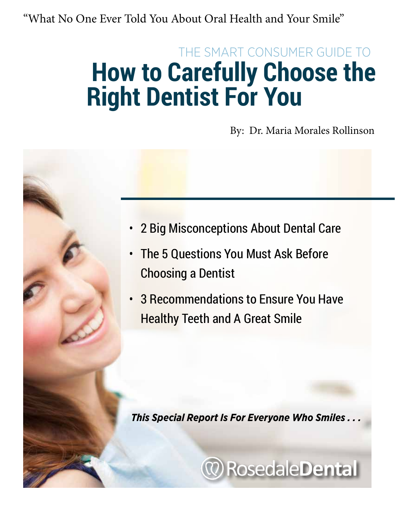"What No One Ever Told You About Oral Health and Your Smile"

## THE SMART CONSUMER GUIDE TO **How to Carefully Choose the Right Dentist For You**

By: Dr. Maria Morales Rollinson

- 2 Big Misconceptions About Dental Care
- The 5 Questions You Must Ask Before Choosing a Dentist
- 3 Recommendations to Ensure You Have Healthy Teeth and A Great Smile

*This Special Report Is For Everyone Who Smiles . . .*

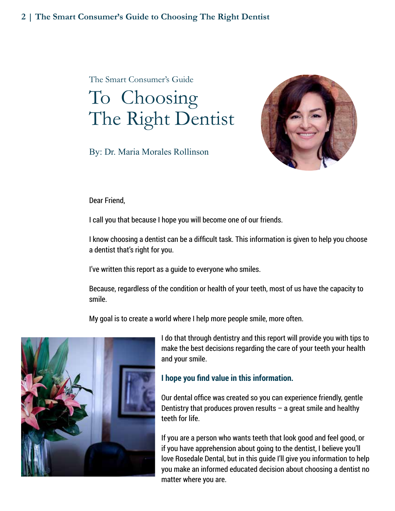## The Smart Consumer's Guide To Choosing The Right Dentist

By: Dr. Maria Morales Rollinson



Dear Friend,

I call you that because I hope you will become one of our friends.

I know choosing a dentist can be a difficult task. This information is given to help you choose a dentist that's right for you.

I've written this report as a guide to everyone who smiles.

Because, regardless of the condition or health of your teeth, most of us have the capacity to smile.

My goal is to create a world where I help more people smile, more often.



I do that through dentistry and this report will provide you with tips to make the best decisions regarding the care of your teeth your health and your smile.

## **I hope you find value in this information.**

Our dental office was created so you can experience friendly, gentle Dentistry that produces proven results  $-$  a great smile and healthy teeth for life.

If you are a person who wants teeth that look good and feel good, or if you have apprehension about going to the dentist, I believe you'll love Rosedale Dental, but in this guide I'll give you information to help you make an informed educated decision about choosing a dentist no matter where you are.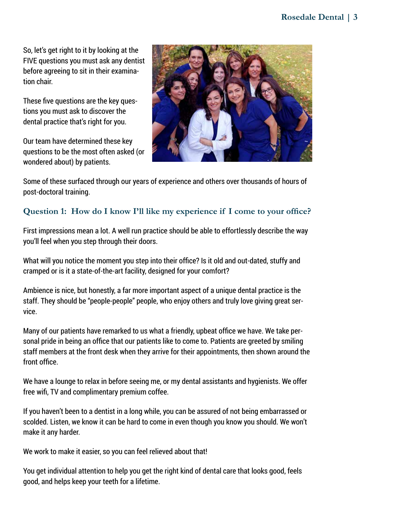So, let's get right to it by looking at the FIVE questions you must ask any dentist before agreeing to sit in their examination chair.

These five questions are the key questions you must ask to discover the dental practice that's right for you.

Our team have determined these key questions to be the most often asked (or wondered about) by patients.



Some of these surfaced through our years of experience and others over thousands of hours of post-doctoral training.

## **Question 1: How do I know I'll like my experience if I come to your office?**

First impressions mean a lot. A well run practice should be able to effortlessly describe the way you'll feel when you step through their doors.

What will you notice the moment you step into their office? Is it old and out-dated, stuffy and cramped or is it a state-of-the-art facility, designed for your comfort?

Ambience is nice, but honestly, a far more important aspect of a unique dental practice is the staff. They should be "people-people" people, who enjoy others and truly love giving great service.

Many of our patients have remarked to us what a friendly, upbeat office we have. We take personal pride in being an office that our patients like to come to. Patients are greeted by smiling staff members at the front desk when they arrive for their appointments, then shown around the front office.

We have a lounge to relax in before seeing me, or my dental assistants and hygienists. We offer free wifi, TV and complimentary premium coffee.

If you haven't been to a dentist in a long while, you can be assured of not being embarrassed or scolded. Listen, we know it can be hard to come in even though you know you should. We won't make it any harder.

We work to make it easier, so you can feel relieved about that!

You get individual attention to help you get the right kind of dental care that looks good, feels good, and helps keep your teeth for a lifetime.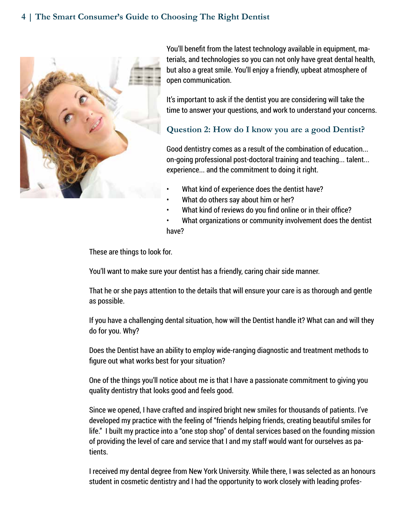## **4 | The Smart Consumer's Guide to Choosing The Right Dentist**



You'll benefit from the latest technology available in equipment, materials, and technologies so you can not only have great dental health, but also a great smile. You'll enjoy a friendly, upbeat atmosphere of open communication.

It's important to ask if the dentist you are considering will take the time to answer your questions, and work to understand your concerns.

## **Question 2: How do I know you are a good Dentist?**

Good dentistry comes as a result of the combination of education... on-going professional post-doctoral training and teaching... talent... experience... and the commitment to doing it right.

- What kind of experience does the dentist have?
- What do others say about him or her?
- What kind of reviews do you find online or in their office?
- What organizations or community involvement does the dentist have?

These are things to look for.

You'll want to make sure your dentist has a friendly, caring chair side manner.

That he or she pays attention to the details that will ensure your care is as thorough and gentle as possible.

If you have a challenging dental situation, how will the Dentist handle it? What can and will they do for you. Why?

Does the Dentist have an ability to employ wide-ranging diagnostic and treatment methods to figure out what works best for your situation?

One of the things you'll notice about me is that I have a passionate commitment to giving you quality dentistry that looks good and feels good.

Since we opened, I have crafted and inspired bright new smiles for thousands of patients. I've developed my practice with the feeling of "friends helping friends, creating beautiful smiles for life." I built my practice into a "one stop shop" of dental services based on the founding mission of providing the level of care and service that I and my staff would want for ourselves as patients.

I received my dental degree from New York University. While there, I was selected as an honours student in cosmetic dentistry and I had the opportunity to work closely with leading profes-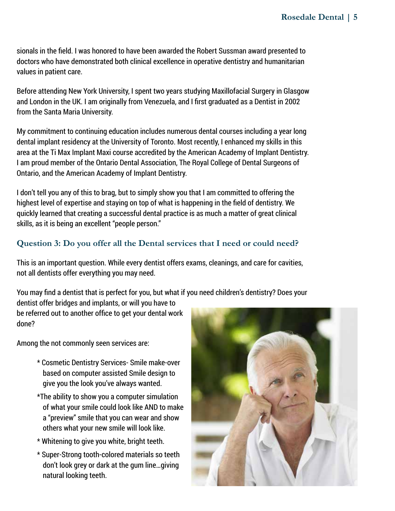sionals in the field. I was honored to have been awarded the Robert Sussman award presented to doctors who have demonstrated both clinical excellence in operative dentistry and humanitarian values in patient care.

Before attending New York University, I spent two years studying Maxillofacial Surgery in Glasgow and London in the UK. I am originally from Venezuela, and I first graduated as a Dentist in 2002 from the Santa Maria University.

My commitment to continuing education includes numerous dental courses including a year long dental implant residency at the University of Toronto. Most recently, I enhanced my skills in this area at the Ti Max Implant Maxi course accredited by the American Academy of Implant Dentistry. I am proud member of the Ontario Dental Association, The Royal College of Dental Surgeons of Ontario, and the American Academy of Implant Dentistry.

I don't tell you any of this to brag, but to simply show you that I am committed to offering the highest level of expertise and staying on top of what is happening in the field of dentistry. We quickly learned that creating a successful dental practice is as much a matter of great clinical skills, as it is being an excellent "people person."

## **Question 3: Do you offer all the Dental services that I need or could need?**

This is an important question. While every dentist offers exams, cleanings, and care for cavities, not all dentists offer everything you may need.

You may find a dentist that is perfect for you, but what if you need children's dentistry? Does your dentist offer bridges and implants, or will you have to be referred out to another office to get your dental work done?

Among the not commonly seen services are:

- \* Cosmetic Dentistry Services- Smile make-over based on computer assisted Smile design to give you the look you've always wanted.
- \*The ability to show you a computer simulation of what your smile could look like AND to make a "preview" smile that you can wear and show others what your new smile will look like.
- \* Whitening to give you white, bright teeth.
- \* Super-Strong tooth-colored materials so teeth don't look grey or dark at the gum line…giving natural looking teeth.

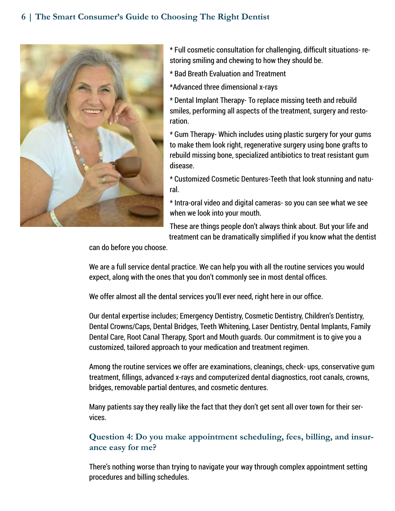## **6 | The Smart Consumer's Guide to Choosing The Right Dentist**



\* Full cosmetic consultation for challenging, difficult situations- restoring smiling and chewing to how they should be.

- \* Bad Breath Evaluation and Treatment
- \*Advanced three dimensional x-rays

\* Dental Implant Therapy- To replace missing teeth and rebuild smiles, performing all aspects of the treatment, surgery and restoration.

\* Gum Therapy- Which includes using plastic surgery for your gums to make them look right, regenerative surgery using bone grafts to rebuild missing bone, specialized antibiotics to treat resistant gum disease.

\* Customized Cosmetic Dentures-Teeth that look stunning and natural.

\* Intra-oral video and digital cameras- so you can see what we see when we look into your mouth.

These are things people don't always think about. But your life and treatment can be dramatically simplified if you know what the dentist

can do before you choose.

We are a full service dental practice. We can help you with all the routine services you would expect, along with the ones that you don't commonly see in most dental offices.

We offer almost all the dental services you'll ever need, right here in our office.

Our dental expertise includes; Emergency Dentistry, Cosmetic Dentistry, Children's Dentistry, Dental Crowns/Caps, Dental Bridges, Teeth Whitening, Laser Dentistry, Dental Implants, Family Dental Care, Root Canal Therapy, Sport and Mouth guards. Our commitment is to give you a customized, tailored approach to your medication and treatment regimen.

Among the routine services we offer are examinations, cleanings, check- ups, conservative gum treatment, fillings, advanced x-rays and computerized dental diagnostics, root canals, crowns, bridges, removable partial dentures, and cosmetic dentures.

Many patients say they really like the fact that they don't get sent all over town for their services.

#### **Question 4: Do you make appointment scheduling, fees, billing, and insurance easy for me?**

There's nothing worse than trying to navigate your way through complex appointment setting procedures and billing schedules.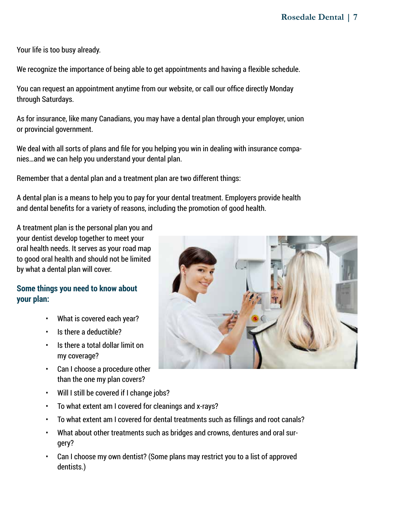Your life is too busy already.

We recognize the importance of being able to get appointments and having a flexible schedule.

You can request an appointment anytime from our website, or call our office directly Monday through Saturdays.

As for insurance, like many Canadians, you may have a dental plan through your employer, union or provincial government.

We deal with all sorts of plans and file for you helping you win in dealing with insurance companies…and we can help you understand your dental plan.

Remember that a dental plan and a treatment plan are two different things:

A dental plan is a means to help you to pay for your dental treatment. Employers provide health and dental benefits for a variety of reasons, including the promotion of good health.

A treatment plan is the personal plan you and your dentist develop together to meet your oral health needs. It serves as your road map to good oral health and should not be limited by what a dental plan will cover.

## **Some things you need to know about your plan:**

- What is covered each year?
- Is there a deductible?
- Is there a total dollar limit on my coverage?
- Can I choose a procedure other than the one my plan covers?
- Will I still be covered if I change jobs?
- To what extent am I covered for cleanings and x-rays?
- To what extent am I covered for dental treatments such as fillings and root canals?
- What about other treatments such as bridges and crowns, dentures and oral surgery?
- Can I choose my own dentist? (Some plans may restrict you to a list of approved dentists.)

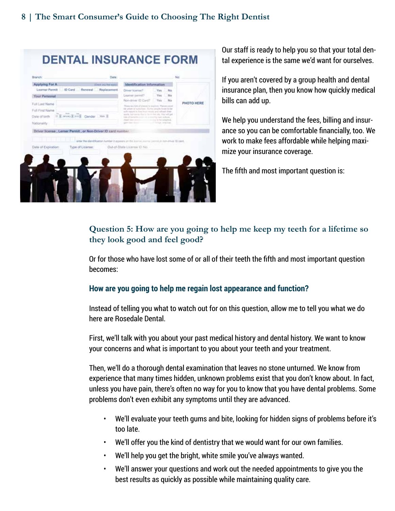## **DENTAL INSURANCE FORM**



Our staff is ready to help you so that your total dental experience is the same we'd want for ourselves.

If you aren't covered by a group health and dental insurance plan, then you know how quickly medical bills can add up.

We help you understand the fees, billing and insurance so you can be comfortable financially, too. We work to make fees affordable while helping maximize your insurance coverage.

The fifth and most important question is:

## **Question 5: How are you going to help me keep my teeth for a lifetime so they look good and feel good?**

Or for those who have lost some of or all of their teeth the fifth and most important question becomes:

## **How are you going to help me regain lost appearance and function?**

Instead of telling you what to watch out for on this question, allow me to tell you what we do here are Rosedale Dental.

First, we'll talk with you about your past medical history and dental history. We want to know your concerns and what is important to you about your teeth and your treatment.

Then, we'll do a thorough dental examination that leaves no stone unturned. We know from experience that many times hidden, unknown problems exist that you don't know about. In fact, unless you have pain, there's often no way for you to know that you have dental problems. Some problems don't even exhibit any symptoms until they are advanced.

- We'll evaluate your teeth gums and bite, looking for hidden signs of problems before it's too late.
- We'll offer you the kind of dentistry that we would want for our own families.
- We'll help you get the bright, white smile you've always wanted.
- We'll answer your questions and work out the needed appointments to give you the best results as quickly as possible while maintaining quality care.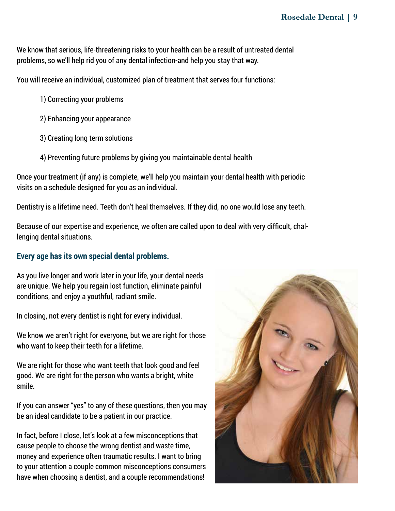We know that serious, life-threatening risks to your health can be a result of untreated dental problems, so we'll help rid you of any dental infection-and help you stay that way.

You will receive an individual, customized plan of treatment that serves four functions:

- 1) Correcting your problems
- 2) Enhancing your appearance
- 3) Creating long term solutions
- 4) Preventing future problems by giving you maintainable dental health

Once your treatment (if any) is complete, we'll help you maintain your dental health with periodic visits on a schedule designed for you as an individual.

Dentistry is a lifetime need. Teeth don't heal themselves. If they did, no one would lose any teeth.

Because of our expertise and experience, we often are called upon to deal with very difficult, challenging dental situations.

#### **Every age has its own special dental problems.**

As you live longer and work later in your life, your dental needs are unique. We help you regain lost function, eliminate painful conditions, and enjoy a youthful, radiant smile.

In closing, not every dentist is right for every individual.

We know we aren't right for everyone, but we are right for those who want to keep their teeth for a lifetime.

We are right for those who want teeth that look good and feel good. We are right for the person who wants a bright, white smile.

If you can answer "yes" to any of these questions, then you may be an ideal candidate to be a patient in our practice.

In fact, before I close, let's look at a few misconceptions that cause people to choose the wrong dentist and waste time, money and experience often traumatic results. I want to bring to your attention a couple common misconceptions consumers have when choosing a dentist, and a couple recommendations!

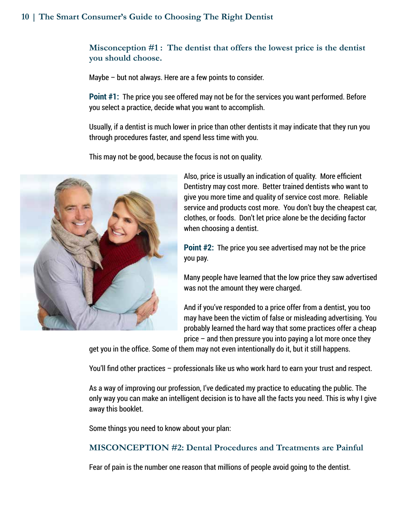## **10 | The Smart Consumer's Guide to Choosing The Right Dentist**

## **Misconception #1 : The dentist that offers the lowest price is the dentist you should choose.**

Maybe – but not always. Here are a few points to consider.

**Point #1:** The price you see offered may not be for the services you want performed. Before you select a practice, decide what you want to accomplish.

Usually, if a dentist is much lower in price than other dentists it may indicate that they run you through procedures faster, and spend less time with you.

This may not be good, because the focus is not on quality.



Also, price is usually an indication of quality. More efficient Dentistry may cost more. Better trained dentists who want to give you more time and quality of service cost more. Reliable service and products cost more. You don't buy the cheapest car, clothes, or foods. Don't let price alone be the deciding factor when choosing a dentist.

**Point #2:** The price you see advertised may not be the price you pay.

Many people have learned that the low price they saw advertised was not the amount they were charged.

And if you've responded to a price offer from a dentist, you too may have been the victim of false or misleading advertising. You probably learned the hard way that some practices offer a cheap price – and then pressure you into paying a lot more once they

get you in the office. Some of them may not even intentionally do it, but it still happens.

You'll find other practices – professionals like us who work hard to earn your trust and respect.

As a way of improving our profession, I've dedicated my practice to educating the public. The only way you can make an intelligent decision is to have all the facts you need. This is why I give away this booklet.

Some things you need to know about your plan:

### **MISCONCEPTION #2: Dental Procedures and Treatments are Painful**

Fear of pain is the number one reason that millions of people avoid going to the dentist.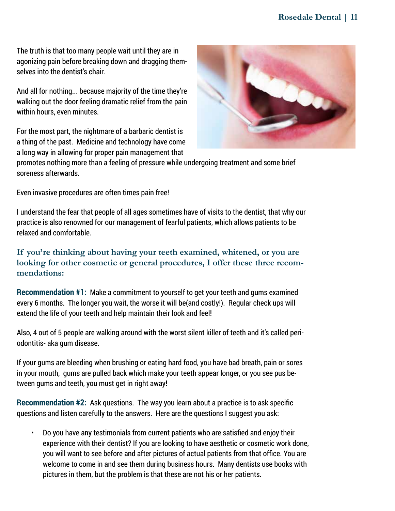## **Rosedale Dental | 11**

The truth is that too many people wait until they are in agonizing pain before breaking down and dragging themselves into the dentist's chair.

And all for nothing... because majority of the time they're walking out the door feeling dramatic relief from the pain within hours, even minutes.

For the most part, the nightmare of a barbaric dentist is a thing of the past. Medicine and technology have come a long way in allowing for proper pain management that



promotes nothing more than a feeling of pressure while undergoing treatment and some brief soreness afterwards.

Even invasive procedures are often times pain free!

I understand the fear that people of all ages sometimes have of visits to the dentist, that why our practice is also renowned for our management of fearful patients, which allows patients to be relaxed and comfortable.

## **If you're thinking about having your teeth examined, whitened, or you are looking for other cosmetic or general procedures, I offer these three recommendations:**

**Recommendation #1:** Make a commitment to yourself to get your teeth and gums examined every 6 months. The longer you wait, the worse it will be(and costly!). Regular check ups will extend the life of your teeth and help maintain their look and feel!

Also, 4 out of 5 people are walking around with the worst silent killer of teeth and it's called periodontitis- aka gum disease.

If your gums are bleeding when brushing or eating hard food, you have bad breath, pain or sores in your mouth, gums are pulled back which make your teeth appear longer, or you see pus between gums and teeth, you must get in right away!

**Recommendation #2:** Ask questions. The way you learn about a practice is to ask specific questions and listen carefully to the answers. Here are the questions I suggest you ask:

• Do you have any testimonials from current patients who are satisfied and enjoy their experience with their dentist? If you are looking to have aesthetic or cosmetic work done, you will want to see before and after pictures of actual patients from that office. You are welcome to come in and see them during business hours. Many dentists use books with pictures in them, but the problem is that these are not his or her patients.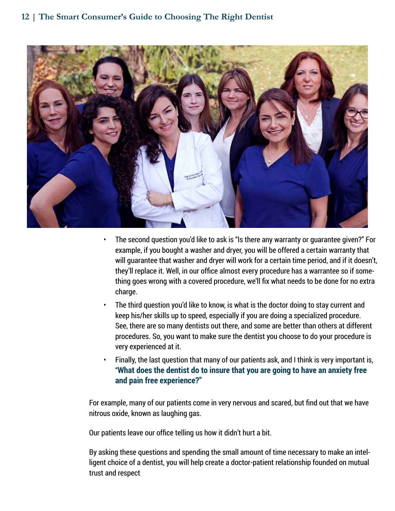

- The second question you'd like to ask is "Is there any warranty or guarantee given?" For example, if you bought a washer and dryer, you will be offered a certain warranty that will guarantee that washer and dryer will work for a certain time period, and if it doesn't, they'll replace it. Well, in our office almost every procedure has a warrantee so if something goes wrong with a covered procedure, we'll fix what needs to be done for no extra charge.
- The third question you'd like to know, is what is the doctor doing to stay current and keep his/her skills up to speed, especially if you are doing a specialized procedure. See, there are so many dentists out there, and some are better than others at different procedures. So, you want to make sure the dentist you choose to do your procedure is very experienced at it.
- Finally, the last question that many of our patients ask, and I think is very important is, "**What does the dentist do to insure that you are going to have an anxiety free and pain free experience?"**

For example, many of our patients come in very nervous and scared, but find out that we have nitrous oxide, known as laughing gas.

Our patients leave our office telling us how it didn't hurt a bit.

By asking these questions and spending the small amount of time necessary to make an intelligent choice of a dentist, you will help create a doctor-patient relationship founded on mutual trust and respect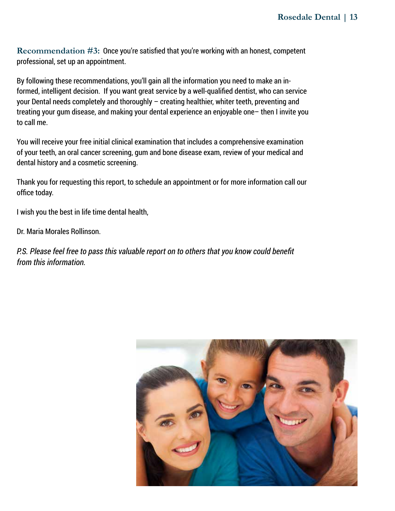**Recommendation #3:** Once you're satisfied that you're working with an honest, competent professional, set up an appointment.

By following these recommendations, you'll gain all the information you need to make an informed, intelligent decision. If you want great service by a well-qualified dentist, who can service your Dental needs completely and thoroughly – creating healthier, whiter teeth, preventing and treating your gum disease, and making your dental experience an enjoyable one– then I invite you to call me.

You will receive your free initial clinical examination that includes a comprehensive examination of your teeth, an oral cancer screening, gum and bone disease exam, review of your medical and dental history and a cosmetic screening.

Thank you for requesting this report, to schedule an appointment or for more information call our office today.

I wish you the best in life time dental health,

Dr. Maria Morales Rollinson.

*P.S. Please feel free to pass this valuable report on to others that you know could benefit from this information.*